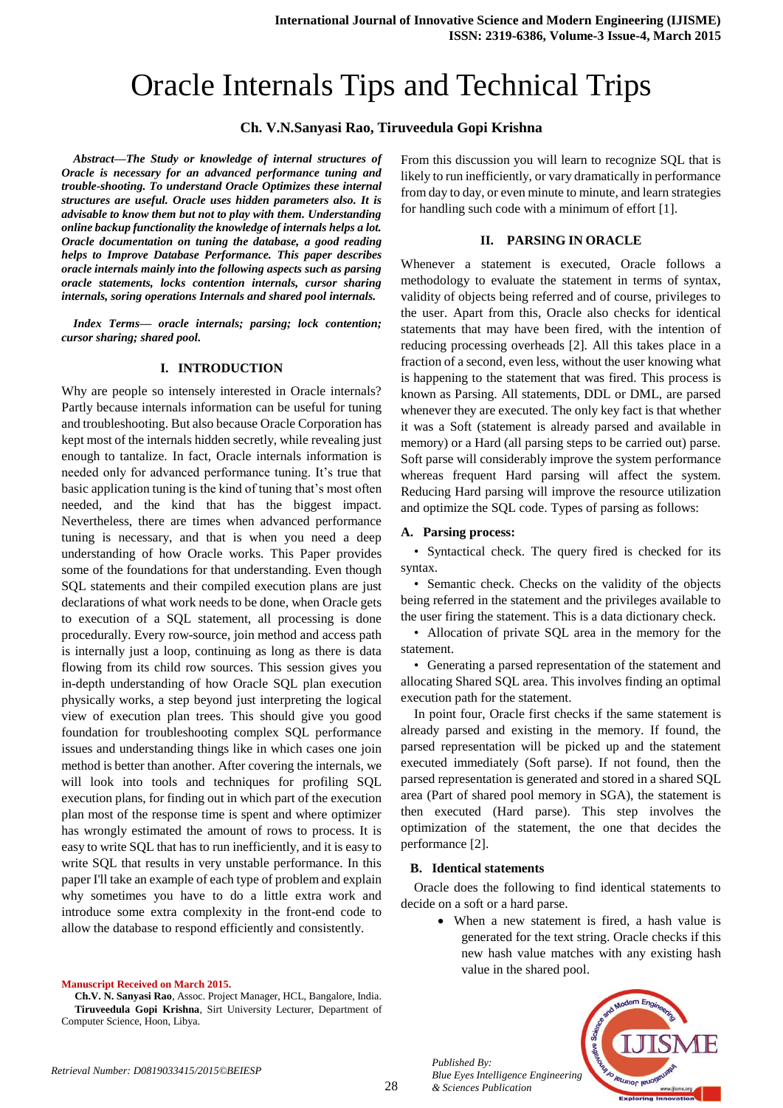# Oracle Internals Tips and Technical Trips

# **Ch. V.N.Sanyasi Rao, Tiruveedula Gopi Krishna**

*Abstract—The Study or knowledge of internal structures of Oracle is necessary for an advanced performance tuning and trouble-shooting. To understand Oracle Optimizes these internal structures are useful. Oracle uses hidden parameters also. It is advisable to know them but not to play with them. Understanding online backup functionality the knowledge of internals helps a lot. Oracle documentation on tuning the database, a good reading helps to Improve Database Performance. This paper describes oracle internals mainly into the following aspects such as parsing oracle statements, locks contention internals, cursor sharing internals, soring operations Internals and shared pool internals.*

*Index Terms— oracle internals; parsing; lock contention; cursor sharing; shared pool.* 

## **I. INTRODUCTION**

Why are people so intensely interested in Oracle internals? Partly because internals information can be useful for tuning and troubleshooting. But also because Oracle Corporation has kept most of the internals hidden secretly, while revealing just enough to tantalize. In fact, Oracle internals information is needed only for advanced performance tuning. It's true that basic application tuning is the kind of tuning that's most often needed, and the kind that has the biggest impact. Nevertheless, there are times when advanced performance tuning is necessary, and that is when you need a deep understanding of how Oracle works. This Paper provides some of the foundations for that understanding. Even though SQL statements and their compiled execution plans are just declarations of what work needs to be done, when Oracle gets to execution of a SQL statement, all processing is done procedurally. Every row-source, join method and access path is internally just a loop, continuing as long as there is data flowing from its child row sources. This session gives you in-depth understanding of how Oracle SQL plan execution physically works, a step beyond just interpreting the logical view of execution plan trees. This should give you good foundation for troubleshooting complex SQL performance issues and understanding things like in which cases one join method is better than another. After covering the internals, we will look into tools and techniques for profiling SQL execution plans, for finding out in which part of the execution plan most of the response time is spent and where optimizer has wrongly estimated the amount of rows to process. It is easy to write SQL that has to run inefficiently, and it is easy to write SQL that results in very unstable performance. In this paper I'll take an example of each type of problem and explain why sometimes you have to do a little extra work and introduce some extra complexity in the front-end code to allow the database to respond efficiently and consistently.

#### **Manuscript Received on March 2015.**

**Ch.V. N. Sanyasi Rao**, Assoc. Project Manager, HCL, Bangalore, India. **Tiruveedula Gopi Krishna**, Sirt University Lecturer, Department of Computer Science, Hoon, Libya.

From this discussion you will learn to recognize SQL that is likely to run inefficiently, or vary dramatically in performance from day to day, or even minute to minute, and learn strategies for handling such code with a minimum of effort [1].

## **II. PARSING IN ORACLE**

Whenever a statement is executed, Oracle follows a methodology to evaluate the statement in terms of syntax, validity of objects being referred and of course, privileges to the user. Apart from this, Oracle also checks for identical statements that may have been fired, with the intention of reducing processing overheads [2]. All this takes place in a fraction of a second, even less, without the user knowing what is happening to the statement that was fired. This process is known as Parsing. All statements, DDL or DML, are parsed whenever they are executed. The only key fact is that whether it was a Soft (statement is already parsed and available in memory) or a Hard (all parsing steps to be carried out) parse. Soft parse will considerably improve the system performance whereas frequent Hard parsing will affect the system. Reducing Hard parsing will improve the resource utilization and optimize the SQL code. Types of parsing as follows:

### **A. Parsing process:**

• Syntactical check. The query fired is checked for its syntax.

• Semantic check. Checks on the validity of the objects being referred in the statement and the privileges available to the user firing the statement. This is a data dictionary check.

• Allocation of private SQL area in the memory for the statement.

• Generating a parsed representation of the statement and allocating Shared SQL area. This involves finding an optimal execution path for the statement.

In point four, Oracle first checks if the same statement is already parsed and existing in the memory. If found, the parsed representation will be picked up and the statement executed immediately (Soft parse). If not found, then the parsed representation is generated and stored in a shared SQL area (Part of shared pool memory in SGA), the statement is then executed (Hard parse). This step involves the optimization of the statement, the one that decides the performance [2].

### **B. Identical statements**

Oracle does the following to find identical statements to decide on a soft or a hard parse.

> When a new statement is fired, a hash value is generated for the text string. Oracle checks if this new hash value matches with any existing hash value in the shared pool.



*Published By: Blue Eyes Intelligence Engineering & Sciences Publication*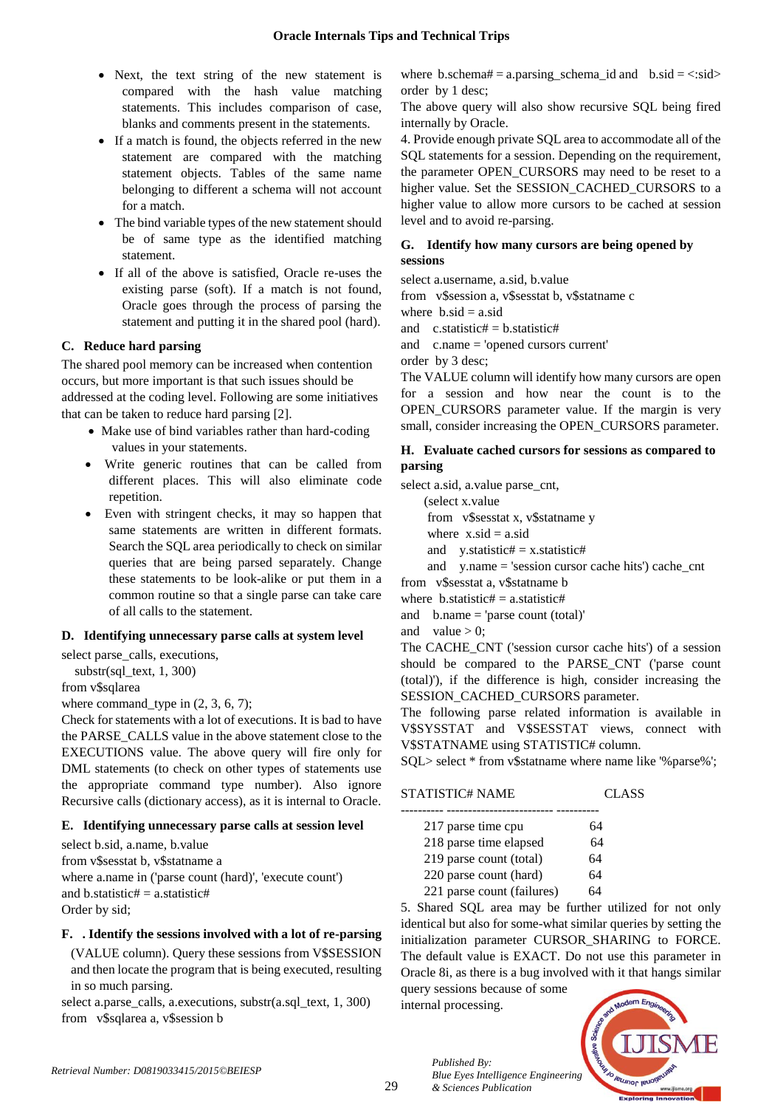- Next, the text string of the new statement is compared with the hash value matching statements. This includes comparison of case, blanks and comments present in the statements.
- If a match is found, the objects referred in the new statement are compared with the matching statement objects. Tables of the same name belonging to different a schema will not account for a match.
- The bind variable types of the new statement should be of same type as the identified matching statement.
- If all of the above is satisfied, Oracle re-uses the existing parse (soft). If a match is not found, Oracle goes through the process of parsing the statement and putting it in the shared pool (hard).

# **C. Reduce hard parsing**

The shared pool memory can be increased when contention occurs, but more important is that such issues should be addressed at the coding level. Following are some initiatives that can be taken to reduce hard parsing [2].

- Make use of bind variables rather than hard-coding values in your statements.
- Write generic routines that can be called from different places. This will also eliminate code repetition.
- Even with stringent checks, it may so happen that same statements are written in different formats. Search the SQL area periodically to check on similar queries that are being parsed separately. Change these statements to be look-alike or put them in a common routine so that a single parse can take care of all calls to the statement.

# **D. Identifying unnecessary parse calls at system level**

select parse\_calls, executions,

substr(sql $text{ text}, 1, 300)$ from v\$sqlarea

where command type in  $(2, 3, 6, 7)$ ;

Check for statements with a lot of executions. It is bad to have the PARSE\_CALLS value in the above statement close to the EXECUTIONS value. The above query will fire only for DML statements (to check on other types of statements use the appropriate command type number). Also ignore Recursive calls (dictionary access), as it is internal to Oracle.

# **E. Identifying unnecessary parse calls at session level**

select b.sid, a.name, b.value from v\$sesstat b, v\$statname a where a.name in ('parse count (hard)', 'execute count') and b.statistic#  $=$  a.statistic# Order by sid;

# **F. . Identify the sessions involved with a lot of re-parsing**

(VALUE column). Query these sessions from V\$SESSION and then locate the program that is being executed, resulting in so much parsing.

select a.parse\_calls, a.executions, substr(a.sql\_text, 1, 300) from v\$sqlarea a, v\$session b

where b.schema# = a.parsing\_schema\_id and  $b.\dot{}sl = \langle :sid \rangle$ order by 1 desc;

The above query will also show recursive SQL being fired internally by Oracle.

4. Provide enough private SQL area to accommodate all of the SQL statements for a session. Depending on the requirement, the parameter OPEN\_CURSORS may need to be reset to a higher value. Set the SESSION\_CACHED\_CURSORS to a higher value to allow more cursors to be cached at session level and to avoid re-parsing.

# **G. Identify how many cursors are being opened by sessions**

select a.username, a.sid, b.value

from v\$session a, v\$sesstat b, v\$statname c

where  $b.\text{sid} = a.\text{sid}$ 

and  $c.statistic\# = b.statistic\#$ 

and c.name = 'opened cursors current'

order by 3 desc;

The VALUE column will identify how many cursors are open for a session and how near the count is to the OPEN CURSORS parameter value. If the margin is very small, consider increasing the OPEN\_CURSORS parameter.

# **H. Evaluate cached cursors for sessions as compared to parsing**

select a.sid, a.value parse\_cnt, (select x.value from v\$sesstat x, v\$statname y where  $x.\text{sid} = a.\text{sid}$ and  $y.$ statistic# = x.statistic# and y.name = 'session cursor cache hits') cache\_cnt from v\$sesstat a, v\$statname b

where  $b$ .statistic# = a.statistic# and  $b.name = 'parse count (total)'$ 

and value  $> 0$ ;

The CACHE\_CNT ('session cursor cache hits') of a session should be compared to the PARSE\_CNT ('parse count (total)'), if the difference is high, consider increasing the SESSION\_CACHED\_CURSORS parameter.

The following parse related information is available in V\$SYSSTAT and V\$SESSTAT views, connect with V\$STATNAME using STATISTIC# column.

SQL> select \* from v\$statname where name like '%parse%';

| 217 parse time cpu         | 64 |
|----------------------------|----|
| 218 parse time elapsed     | 64 |
| 219 parse count (total)    | 64 |
| 220 parse count (hard)     | 64 |
| 221 parse count (failures) | 6Δ |

STATISTIC# NAME CLASS

5. Shared SQL area may be further utilized for not only identical but also for some-what similar queries by setting the initialization parameter CURSOR\_SHARING to FORCE. The default value is EXACT. Do not use this parameter in Oracle 8i, as there is a bug involved with it that hangs similar

query sessions because of some internal processing.

*& Sciences Publication* 

*Published By:*

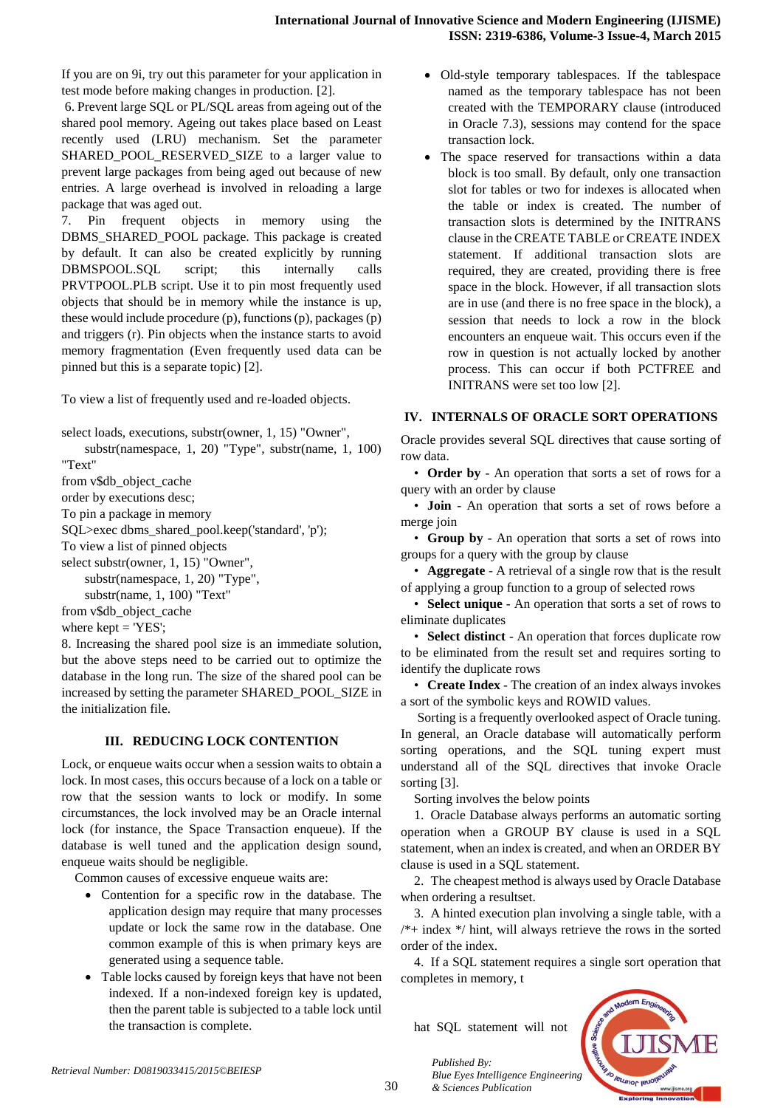If you are on 9i, try out this parameter for your application in test mode before making changes in production. [2].

6. Prevent large SQL or PL/SQL areas from ageing out of the shared pool memory. Ageing out takes place based on Least recently used (LRU) mechanism. Set the parameter SHARED POOL RESERVED SIZE to a larger value to prevent large packages from being aged out because of new entries. A large overhead is involved in reloading a large package that was aged out.

7. Pin frequent objects in memory using the DBMS\_SHARED\_POOL package. This package is created by default. It can also be created explicitly by running DBMSPOOL.SQL script; this internally calls PRVTPOOL.PLB script. Use it to pin most frequently used objects that should be in memory while the instance is up, these would include procedure (p), functions (p), packages (p) and triggers (r). Pin objects when the instance starts to avoid memory fragmentation (Even frequently used data can be pinned but this is a separate topic) [2].

To view a list of frequently used and re-loaded objects.

select loads, executions, substr(owner, 1, 15) "Owner",

 substr(namespace, 1, 20) "Type", substr(name, 1, 100) "Text"

from v\$db\_object\_cache

order by executions desc;

To pin a package in memory

SQL>exec dbms\_shared\_pool.keep('standard', 'p');

To view a list of pinned objects

select substr(owner, 1, 15) "Owner",

 substr(namespace, 1, 20) "Type", substr(name, 1, 100) "Text"

from v\$db\_object\_cache

where  $k$ ept  $=$  'YES':

8. Increasing the shared pool size is an immediate solution, but the above steps need to be carried out to optimize the database in the long run. The size of the shared pool can be increased by setting the parameter SHARED\_POOL\_SIZE in the initialization file.

# **III. REDUCING LOCK CONTENTION**

Lock, or enqueue waits occur when a session waits to obtain a lock. In most cases, this occurs because of a lock on a table or row that the session wants to lock or modify. In some circumstances, the lock involved may be an Oracle internal lock (for instance, the Space Transaction enqueue). If the database is well tuned and the application design sound, enqueue waits should be negligible.

Common causes of excessive enqueue waits are:

- Contention for a specific row in the database. The application design may require that many processes update or lock the same row in the database. One common example of this is when primary keys are generated using a sequence table.
- Table locks caused by foreign keys that have not been indexed. If a non-indexed foreign key is updated, then the parent table is subjected to a table lock until the transaction is complete.
- Old-style temporary tablespaces. If the tablespace named as the temporary tablespace has not been created with the TEMPORARY clause (introduced in Oracle 7.3), sessions may contend for the space transaction lock.
- The space reserved for transactions within a data block is too small. By default, only one transaction slot for tables or two for indexes is allocated when the table or index is created. The number of transaction slots is determined by the INITRANS clause in the CREATE TABLE or CREATE INDEX statement. If additional transaction slots are required, they are created, providing there is free space in the block. However, if all transaction slots are in use (and there is no free space in the block), a session that needs to lock a row in the block encounters an enqueue wait. This occurs even if the row in question is not actually locked by another process. This can occur if both PCTFREE and INITRANS were set too low [2].

# **IV. INTERNALS OF ORACLE SORT OPERATIONS**

Oracle provides several SQL directives that cause sorting of row data.

• **Order by** - An operation that sorts a set of rows for a query with an order by clause

• **Join** - An operation that sorts a set of rows before a merge join

• **Group by** - An operation that sorts a set of rows into groups for a query with the group by clause

• **Aggregate** - A retrieval of a single row that is the result of applying a group function to a group of selected rows

• **Select unique** - An operation that sorts a set of rows to eliminate duplicates

• **Select distinct** - An operation that forces duplicate row to be eliminated from the result set and requires sorting to identify the duplicate rows

• **Create Index** - The creation of an index always invokes a sort of the symbolic keys and ROWID values.

Sorting is a frequently overlooked aspect of Oracle tuning. In general, an Oracle database will automatically perform sorting operations, and the SQL tuning expert must understand all of the SQL directives that invoke Oracle sorting [3].

Sorting involves the below points

1. Oracle Database always performs an automatic sorting operation when a GROUP BY clause is used in a SQL statement, when an index is created, and when an ORDER BY clause is used in a SQL statement.

2. The cheapest method is always used by Oracle Database when ordering a resultset.

3. A hinted execution plan involving a single table, with a  $/*+$  index  $*/$  hint, will always retrieve the rows in the sorted order of the index.

4. If a SQL statement requires a single sort operation that completes in memory, t

hat SQL statement will not



30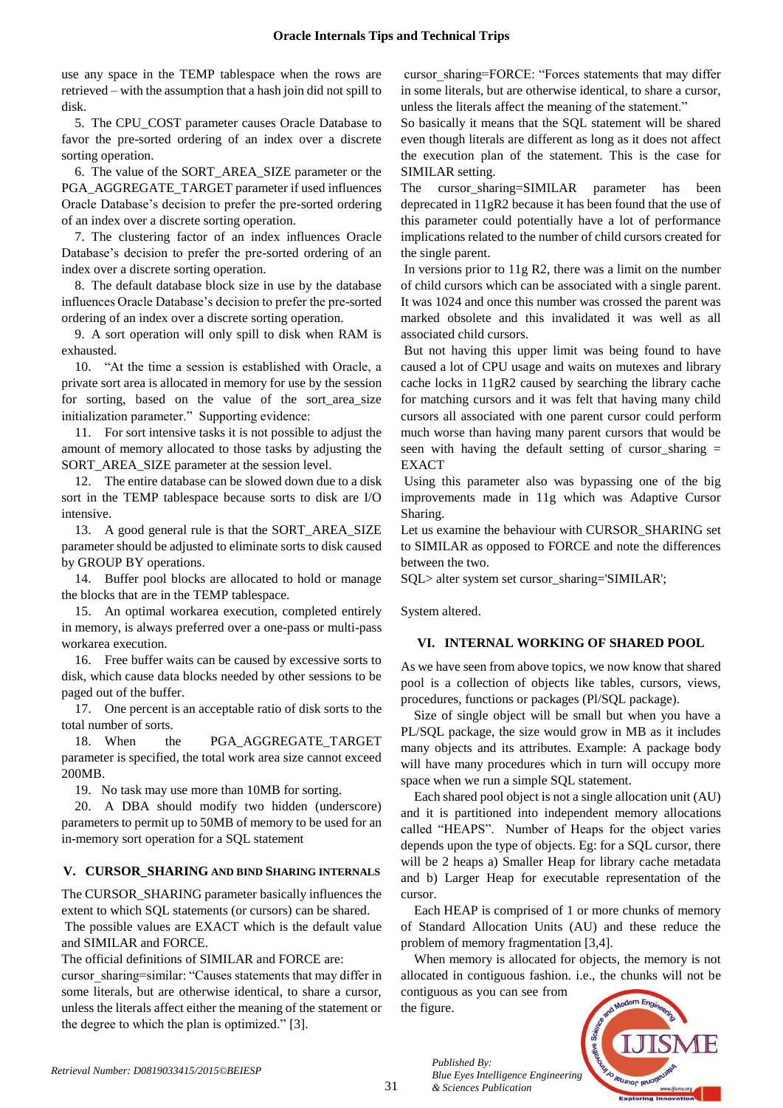use any space in the TEMP tablespace when the rows are retrieved – with the assumption that a hash join did not spill to disk.

5. The CPU\_COST parameter causes Oracle Database to favor the pre-sorted ordering of an index over a discrete sorting operation.

6. The value of the SORT\_AREA\_SIZE parameter or the PGA\_AGGREGATE\_TARGET parameter if used influences Oracle Database's decision to prefer the pre-sorted ordering of an index over a discrete sorting operation.

7. The clustering factor of an index influences Oracle Database's decision to prefer the pre-sorted ordering of an index over a discrete sorting operation.

8. The default database block size in use by the database influences Oracle Database's decision to prefer the pre-sorted ordering of an index over a discrete sorting operation.

9. A sort operation will only spill to disk when RAM is exhausted.

10. "At the time a session is established with Oracle, a private sort area is allocated in memory for use by the session for sorting, based on the value of the sort\_area\_size initialization parameter." Supporting evidence:

11. For sort intensive tasks it is not possible to adjust the amount of memory allocated to those tasks by adjusting the SORT AREA SIZE parameter at the session level.

12. The entire database can be slowed down due to a disk sort in the TEMP tablespace because sorts to disk are I/O intensive.

13. A good general rule is that the SORT\_AREA\_SIZE parameter should be adjusted to eliminate sorts to disk caused by GROUP BY operations.

14. Buffer pool blocks are allocated to hold or manage the blocks that are in the TEMP tablespace.

15. An optimal workarea execution, completed entirely in memory, is always preferred over a one-pass or multi-pass workarea execution.

16. Free buffer waits can be caused by excessive sorts to disk, which cause data blocks needed by other sessions to be paged out of the buffer.

17. One percent is an acceptable ratio of disk sorts to the total number of sorts.

18. When the PGA\_AGGREGATE\_TARGET parameter is specified, the total work area size cannot exceed 200MB.

19. No task may use more than 10MB for sorting.

20. A DBA should modify two hidden (underscore) parameters to permit up to 50MB of memory to be used for an in-memory sort operation for a SQL statement

# **V. CURSOR\_SHARING AND BIND SHARING INTERNALS**

The CURSOR\_SHARING parameter basically influences the extent to which SQL statements (or cursors) can be shared.

The possible values are EXACT which is the default value and SIMILAR and FORCE.

The official definitions of SIMILAR and FORCE are:

cursor\_sharing=similar: "Causes statements that may differ in some literals, but are otherwise identical, to share a cursor, unless the literals affect either the meaning of the statement or the degree to which the plan is optimized." [3].

cursor\_sharing=FORCE: "Forces statements that may differ in some literals, but are otherwise identical, to share a cursor, unless the literals affect the meaning of the statement."

So basically it means that the SQL statement will be shared even though literals are different as long as it does not affect the execution plan of the statement. This is the case for SIMILAR setting.

The cursor\_sharing=SIMILAR parameter has been deprecated in 11gR2 because it has been found that the use of this parameter could potentially have a lot of performance implications related to the number of child cursors created for the single parent.

In versions prior to 11g R2, there was a limit on the number of child cursors which can be associated with a single parent. It was 1024 and once this number was crossed the parent was marked obsolete and this invalidated it was well as all associated child cursors.

But not having this upper limit was being found to have caused a lot of CPU usage and waits on mutexes and library cache locks in 11gR2 caused by searching the library cache for matching cursors and it was felt that having many child cursors all associated with one parent cursor could perform much worse than having many parent cursors that would be seen with having the default setting of cursor\_sharing = **EXACT** 

Using this parameter also was bypassing one of the big improvements made in 11g which was Adaptive Cursor Sharing.

Let us examine the behaviour with CURSOR\_SHARING set to SIMILAR as opposed to FORCE and note the differences between the two.

SQL> alter system set cursor\_sharing='SIMILAR';

System altered.

# **VI. INTERNAL WORKING OF SHARED POOL**

As we have seen from above topics, we now know that shared pool is a collection of objects like tables, cursors, views, procedures, functions or packages (Pl/SQL package).

Size of single object will be small but when you have a PL/SQL package, the size would grow in MB as it includes many objects and its attributes. Example: A package body will have many procedures which in turn will occupy more space when we run a simple SQL statement.

Each shared pool object is not a single allocation unit (AU) and it is partitioned into independent memory allocations called "HEAPS". Number of Heaps for the object varies depends upon the type of objects. Eg: for a SQL cursor, there will be 2 heaps a) Smaller Heap for library cache metadata and b) Larger Heap for executable representation of the cursor.

Each HEAP is comprised of 1 or more chunks of memory of Standard Allocation Units (AU) and these reduce the problem of memory fragmentation [3,4].

When memory is allocated for objects, the memory is not allocated in contiguous fashion. i.e., the chunks will not be

contiguous as you can see from the figure.